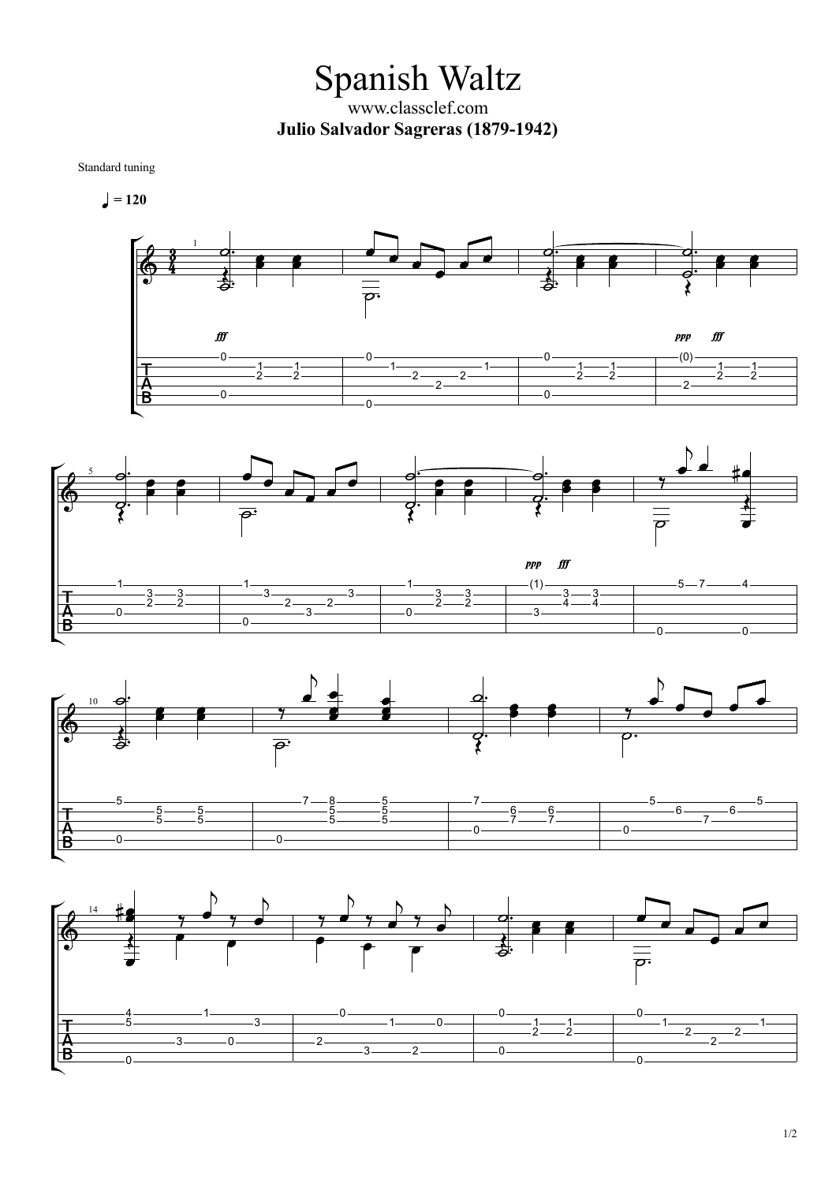Spanish Waltz www.classclef.com **Julio Salvador Sagreras (1879-1942)**

Standard tuning

 $= 120$